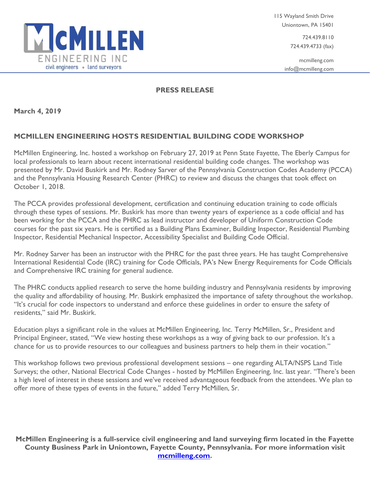

724.439.8110 724.439.4733 (fax)

mcmilleng.com info@mcmilleng.com

## **PRESS RELEASE**

**March 4, 2019**

## **MCMILLEN ENGINEERING HOSTS RESIDENTIAL BUILDING CODE WORKSHOP**

McMillen Engineering, Inc. hosted a workshop on February 27, 2019 at Penn State Fayette, The Eberly Campus for local professionals to learn about recent international residential building code changes. The workshop was presented by Mr. David Buskirk and Mr. Rodney Sarver of the Pennsylvania Construction Codes Academy (PCCA) and the Pennsylvania Housing Research Center (PHRC) to review and discuss the changes that took effect on October 1, 2018.

The PCCA provides professional development, certification and continuing education training to code officials through these types of sessions. Mr. Buskirk has more than twenty years of experience as a code official and has been working for the PCCA and the PHRC as lead instructor and developer of Uniform Construction Code courses for the past six years. He is certified as a Building Plans Examiner, Building Inspector, Residential Plumbing Inspector, Residential Mechanical Inspector, Accessibility Specialist and Building Code Official.

Mr. Rodney Sarver has been an instructor with the PHRC for the past three years. He has taught Comprehensive International Residential Code (IRC) training for Code Officials, PA's New Energy Requirements for Code Officials and Comprehensive IRC training for general audience.

The PHRC conducts applied research to serve the home building industry and Pennsylvania residents by improving the quality and affordability of housing. Mr. Buskirk emphasized the importance of safety throughout the workshop. "It's crucial for code inspectors to understand and enforce these guidelines in order to ensure the safety of residents," said Mr. Buskirk.

Education plays a significant role in the values at McMillen Engineering, Inc. Terry McMillen, Sr., President and Principal Engineer, stated, "We view hosting these workshops as a way of giving back to our profession. It's a chance for us to provide resources to our colleagues and business partners to help them in their vocation."

This workshop follows two previous professional development sessions – one regarding ALTA/NSPS Land Title Surveys; the other, National Electrical Code Changes - hosted by McMillen Engineering, Inc. last year. "There's been a high level of interest in these sessions and we've received advantageous feedback from the attendees. We plan to offer more of these types of events in the future," added Terry McMillen, Sr.

**McMillen Engineering is a full-service civil engineering and land surveying firm located in the Fayette County Business Park in Uniontown, Fayette County, Pennsylvania. For more information visit [mcmilleng.com.](http://www.mcmilleng.com/)**